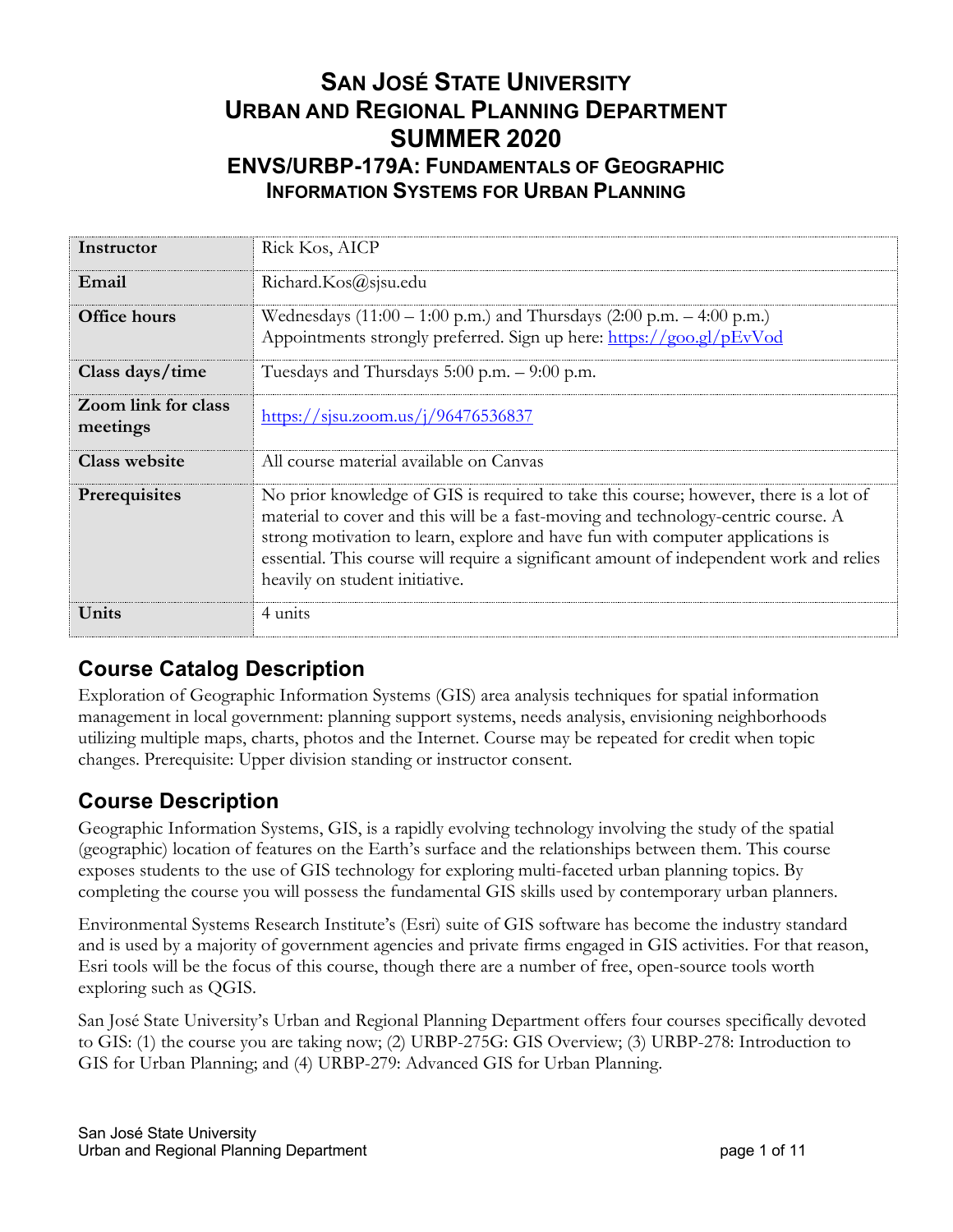# **SAN JOSÉ STATE UNIVERSITY URBAN AND REGIONAL PLANNING DEPARTMENT SUMMER 2020 ENVS/URBP-179A: FUNDAMENTALS OF GEOGRAPHIC INFORMATION SYSTEMS FOR URBAN PLANNING**

| Instructor                             | Rick Kos, AICP                                                                                                                                                                                                                                                                                                                                                                            |
|----------------------------------------|-------------------------------------------------------------------------------------------------------------------------------------------------------------------------------------------------------------------------------------------------------------------------------------------------------------------------------------------------------------------------------------------|
| Email                                  | Richard.Kos@sjsu.edu                                                                                                                                                                                                                                                                                                                                                                      |
| <b>Office hours</b>                    | Wednesdays $(11:00 - 1:00 \text{ p.m.})$ and Thursdays $(2:00 \text{ p.m.} - 4:00 \text{ p.m.})$<br>Appointments strongly preferred. Sign up here: https://goo.gl/pEvVod                                                                                                                                                                                                                  |
| Class days/time                        | Tuesdays and Thursdays 5:00 p.m. - 9:00 p.m.                                                                                                                                                                                                                                                                                                                                              |
| <b>Zoom link for class</b><br>meetings | https://sisu.zoom.us/j/96476536837                                                                                                                                                                                                                                                                                                                                                        |
| <b>Class website</b>                   | All course material available on Canyas                                                                                                                                                                                                                                                                                                                                                   |
| Prerequisites                          | No prior knowledge of GIS is required to take this course; however, there is a lot of<br>material to cover and this will be a fast-moving and technology-centric course. A<br>strong motivation to learn, explore and have fun with computer applications is<br>essential. This course will require a significant amount of independent work and relies<br>heavily on student initiative. |
| Units                                  | 4 units                                                                                                                                                                                                                                                                                                                                                                                   |

# **Course Catalog Description**

Exploration of Geographic Information Systems (GIS) area analysis techniques for spatial information management in local government: planning support systems, needs analysis, envisioning neighborhoods utilizing multiple maps, charts, photos and the Internet. Course may be repeated for credit when topic changes. Prerequisite: Upper division standing or instructor consent.

# **Course Description**

Geographic Information Systems, GIS, is a rapidly evolving technology involving the study of the spatial (geographic) location of features on the Earth's surface and the relationships between them. This course exposes students to the use of GIS technology for exploring multi-faceted urban planning topics. By completing the course you will possess the fundamental GIS skills used by contemporary urban planners.

Environmental Systems Research Institute's (Esri) suite of GIS software has become the industry standard and is used by a majority of government agencies and private firms engaged in GIS activities. For that reason, Esri tools will be the focus of this course, though there are a number of free, open-source tools worth exploring such as QGIS.

San José State University's Urban and Regional Planning Department offers four courses specifically devoted to GIS: (1) the course you are taking now; (2) URBP-275G: GIS Overview; (3) URBP-278: Introduction to GIS for Urban Planning; and (4) URBP-279: Advanced GIS for Urban Planning.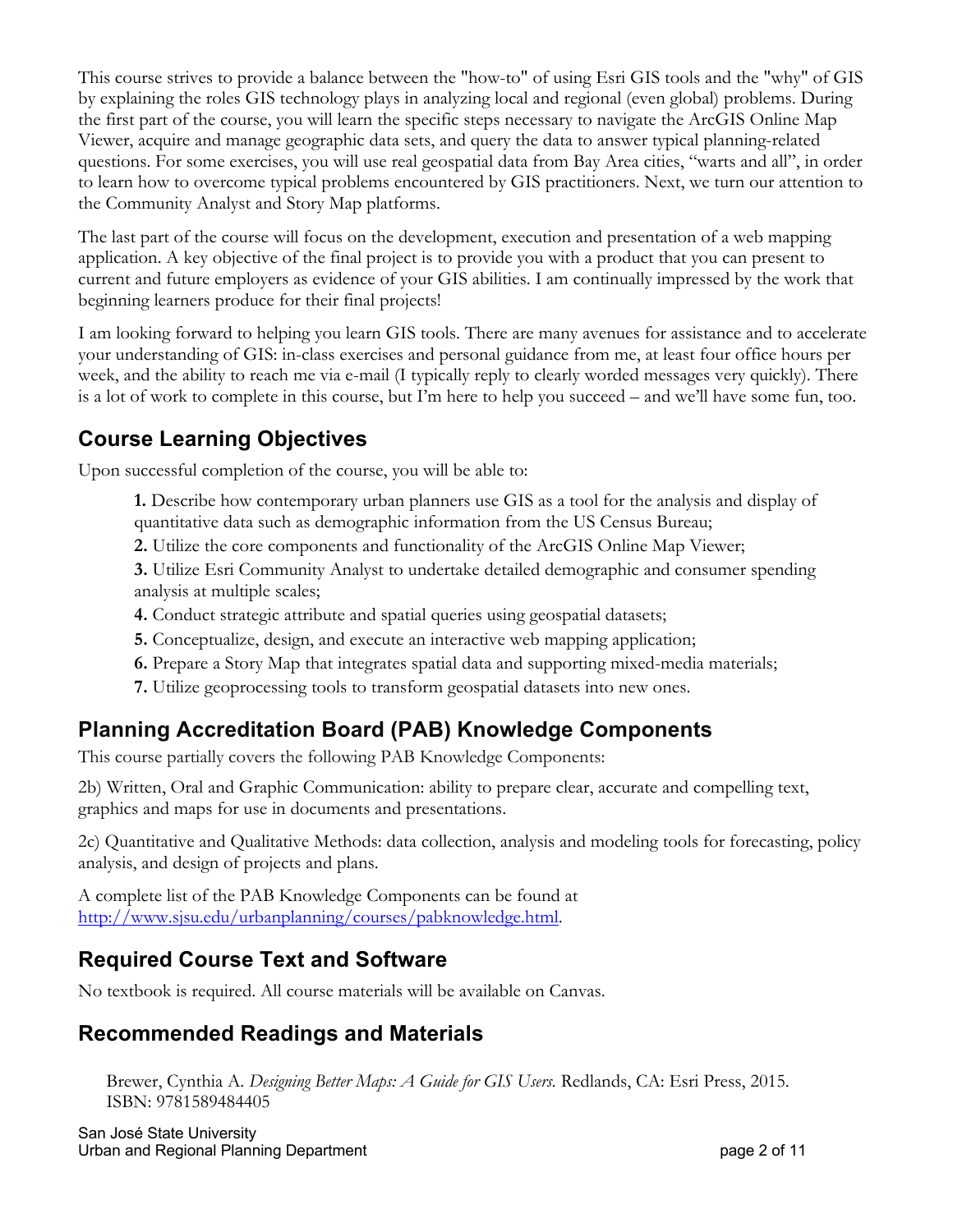This course strives to provide a balance between the "how-to" of using Esri GIS tools and the "why" of GIS by explaining the roles GIS technology plays in analyzing local and regional (even global) problems. During the first part of the course, you will learn the specific steps necessary to navigate the ArcGIS Online Map Viewer, acquire and manage geographic data sets, and query the data to answer typical planning-related questions. For some exercises, you will use real geospatial data from Bay Area cities, "warts and all", in order to learn how to overcome typical problems encountered by GIS practitioners. Next, we turn our attention to the Community Analyst and Story Map platforms.

The last part of the course will focus on the development, execution and presentation of a web mapping application. A key objective of the final project is to provide you with a product that you can present to current and future employers as evidence of your GIS abilities. I am continually impressed by the work that beginning learners produce for their final projects!

I am looking forward to helping you learn GIS tools. There are many avenues for assistance and to accelerate your understanding of GIS: in-class exercises and personal guidance from me, at least four office hours per week, and the ability to reach me via e-mail (I typically reply to clearly worded messages very quickly). There is a lot of work to complete in this course, but I'm here to help you succeed – and we'll have some fun, too.

# **Course Learning Objectives**

Upon successful completion of the course, you will be able to:

- **1.** Describe how contemporary urban planners use GIS as a tool for the analysis and display of quantitative data such as demographic information from the US Census Bureau;
- **2.** Utilize the core components and functionality of the ArcGIS Online Map Viewer;

**3.** Utilize Esri Community Analyst to undertake detailed demographic and consumer spending analysis at multiple scales;

- **4.** Conduct strategic attribute and spatial queries using geospatial datasets;
- **5.** Conceptualize, design, and execute an interactive web mapping application;
- **6.** Prepare a Story Map that integrates spatial data and supporting mixed-media materials;
- **7.** Utilize geoprocessing tools to transform geospatial datasets into new ones.

# **Planning Accreditation Board (PAB) Knowledge Components**

This course partially covers the following PAB Knowledge Components:

2b) Written, Oral and Graphic Communication: ability to prepare clear, accurate and compelling text, graphics and maps for use in documents and presentations.

2c) Quantitative and Qualitative Methods: data collection, analysis and modeling tools for forecasting, policy analysis, and design of projects and plans.

A complete list of the PAB Knowledge Components can be found at http://www.sjsu.edu/urbanplanning/courses/pabknowledge.html.

# **Required Course Text and Software**

No textbook is required. All course materials will be available on Canvas.

### **Recommended Readings and Materials**

Brewer, Cynthia A. *Designing Better Maps: A Guide for GIS Users.* Redlands, CA: Esri Press, 2015. ISBN: 9781589484405

San José State University Urban and Regional Planning Department **page 2** of 11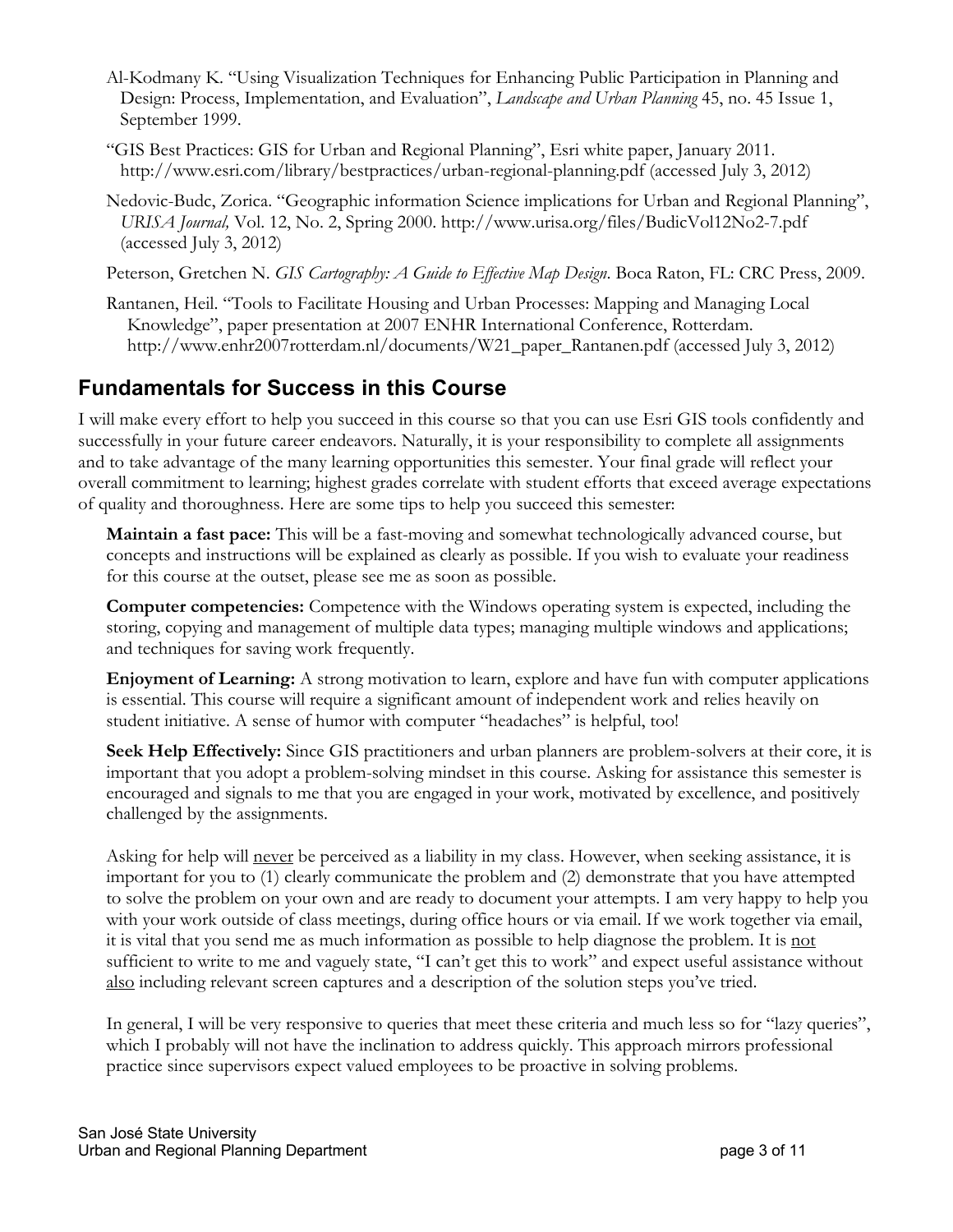- Al-Kodmany K. "Using Visualization Techniques for Enhancing Public Participation in Planning and Design: Process, Implementation, and Evaluation", *Landscape and Urban Planning* 45, no. 45 Issue 1, September 1999.
- "GIS Best Practices: GIS for Urban and Regional Planning", Esri white paper, January 2011. http://www.esri.com/library/bestpractices/urban-regional-planning.pdf (accessed July 3, 2012)
- Nedovic-Budc, Zorica. "Geographic information Science implications for Urban and Regional Planning", *URISA Journal,* Vol. 12, No. 2, Spring 2000. http://www.urisa.org/files/BudicVol12No2-7.pdf (accessed July 3, 2012)
- Peterson, Gretchen N. *GIS Cartography: A Guide to Effective Map Design*. Boca Raton, FL: CRC Press, 2009.
- Rantanen, Heil. "Tools to Facilitate Housing and Urban Processes: Mapping and Managing Local Knowledge", paper presentation at 2007 ENHR International Conference, Rotterdam. http://www.enhr2007rotterdam.nl/documents/W21\_paper\_Rantanen.pdf (accessed July 3, 2012)

### **Fundamentals for Success in this Course**

I will make every effort to help you succeed in this course so that you can use Esri GIS tools confidently and successfully in your future career endeavors. Naturally, it is your responsibility to complete all assignments and to take advantage of the many learning opportunities this semester. Your final grade will reflect your overall commitment to learning; highest grades correlate with student efforts that exceed average expectations of quality and thoroughness. Here are some tips to help you succeed this semester:

**Maintain a fast pace:** This will be a fast-moving and somewhat technologically advanced course, but concepts and instructions will be explained as clearly as possible. If you wish to evaluate your readiness for this course at the outset, please see me as soon as possible.

**Computer competencies:** Competence with the Windows operating system is expected, including the storing, copying and management of multiple data types; managing multiple windows and applications; and techniques for saving work frequently.

**Enjoyment of Learning:** A strong motivation to learn, explore and have fun with computer applications is essential. This course will require a significant amount of independent work and relies heavily on student initiative. A sense of humor with computer "headaches" is helpful, too!

**Seek Help Effectively:** Since GIS practitioners and urban planners are problem-solvers at their core, it is important that you adopt a problem-solving mindset in this course. Asking for assistance this semester is encouraged and signals to me that you are engaged in your work, motivated by excellence, and positively challenged by the assignments.

Asking for help will never be perceived as a liability in my class. However, when seeking assistance, it is important for you to (1) clearly communicate the problem and (2) demonstrate that you have attempted to solve the problem on your own and are ready to document your attempts. I am very happy to help you with your work outside of class meetings, during office hours or via email. If we work together via email, it is vital that you send me as much information as possible to help diagnose the problem. It is not sufficient to write to me and vaguely state, "I can't get this to work" and expect useful assistance without also including relevant screen captures and a description of the solution steps you've tried.

In general, I will be very responsive to queries that meet these criteria and much less so for "lazy queries", which I probably will not have the inclination to address quickly. This approach mirrors professional practice since supervisors expect valued employees to be proactive in solving problems.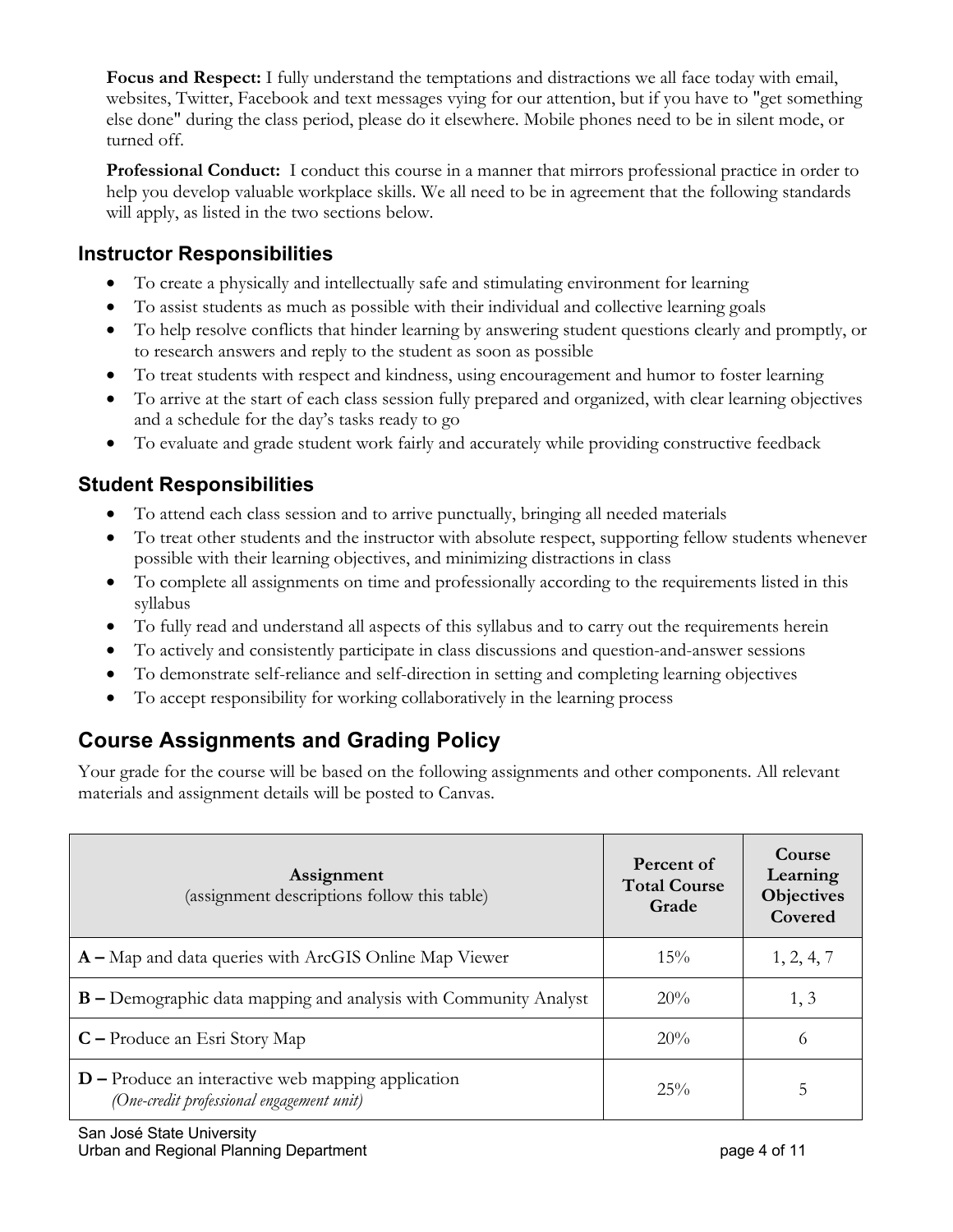**Focus and Respect:** I fully understand the temptations and distractions we all face today with email, websites, Twitter, Facebook and text messages vying for our attention, but if you have to "get something else done" during the class period, please do it elsewhere. Mobile phones need to be in silent mode, or turned off.

**Professional Conduct:** I conduct this course in a manner that mirrors professional practice in order to help you develop valuable workplace skills. We all need to be in agreement that the following standards will apply, as listed in the two sections below.

#### **Instructor Responsibilities**

- To create a physically and intellectually safe and stimulating environment for learning
- To assist students as much as possible with their individual and collective learning goals
- To help resolve conflicts that hinder learning by answering student questions clearly and promptly, or to research answers and reply to the student as soon as possible
- To treat students with respect and kindness, using encouragement and humor to foster learning
- To arrive at the start of each class session fully prepared and organized, with clear learning objectives and a schedule for the day's tasks ready to go
- To evaluate and grade student work fairly and accurately while providing constructive feedback

#### **Student Responsibilities**

- To attend each class session and to arrive punctually, bringing all needed materials
- To treat other students and the instructor with absolute respect, supporting fellow students whenever possible with their learning objectives, and minimizing distractions in class
- To complete all assignments on time and professionally according to the requirements listed in this syllabus
- To fully read and understand all aspects of this syllabus and to carry out the requirements herein
- To actively and consistently participate in class discussions and question-and-answer sessions
- To demonstrate self-reliance and self-direction in setting and completing learning objectives
- To accept responsibility for working collaboratively in the learning process

# **Course Assignments and Grading Policy**

Your grade for the course will be based on the following assignments and other components. All relevant materials and assignment details will be posted to Canvas.

| Assignment<br>(assignment descriptions follow this table)                                         | Percent of<br><b>Total Course</b><br>Grade | Course<br>Learning<br><b>Objectives</b><br>Covered |
|---------------------------------------------------------------------------------------------------|--------------------------------------------|----------------------------------------------------|
| $A - Map$ and data queries with ArcGIS Online Map Viewer                                          | 15%                                        | 1, 2, 4, 7                                         |
| <b>B</b> – Demographic data mapping and analysis with Community Analyst                           | 20%                                        | 1, 3                                               |
| $C$ – Produce an Esri Story Map                                                                   | 20%                                        | $\Omega$                                           |
| $D$ – Produce an interactive web mapping application<br>(One-credit professional engagement unit) | 25%                                        | 5                                                  |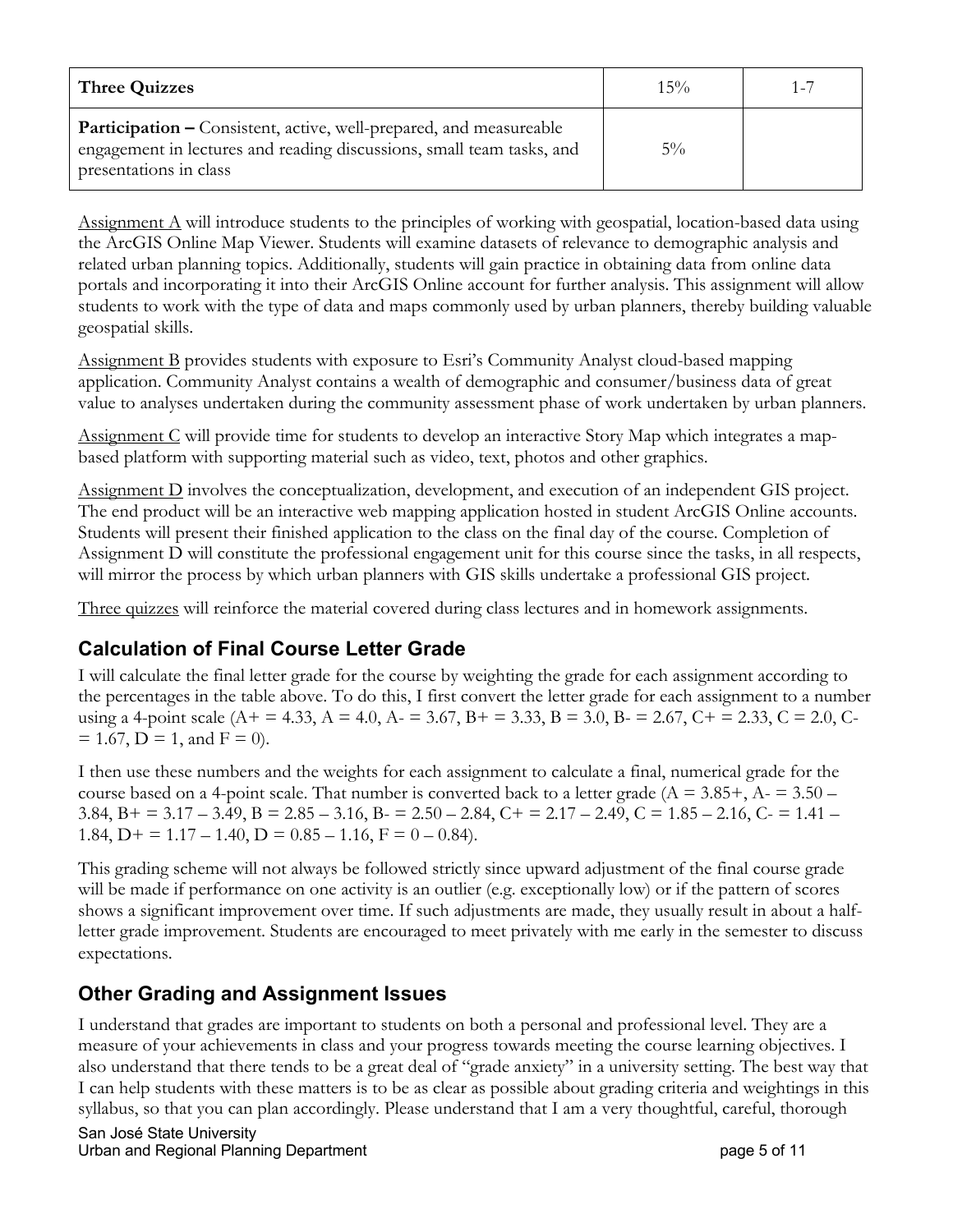| <b>Three Quizzes</b>                                                                                                                                                         | $15\%$ |  |
|------------------------------------------------------------------------------------------------------------------------------------------------------------------------------|--------|--|
| <b>Participation –</b> Consistent, active, well-prepared, and measureable<br>engagement in lectures and reading discussions, small team tasks, and<br>presentations in class | $5\%$  |  |

Assignment A will introduce students to the principles of working with geospatial, location-based data using the ArcGIS Online Map Viewer. Students will examine datasets of relevance to demographic analysis and related urban planning topics. Additionally, students will gain practice in obtaining data from online data portals and incorporating it into their ArcGIS Online account for further analysis. This assignment will allow students to work with the type of data and maps commonly used by urban planners, thereby building valuable geospatial skills.

Assignment B provides students with exposure to Esri's Community Analyst cloud-based mapping application. Community Analyst contains a wealth of demographic and consumer/business data of great value to analyses undertaken during the community assessment phase of work undertaken by urban planners.

Assignment C will provide time for students to develop an interactive Story Map which integrates a mapbased platform with supporting material such as video, text, photos and other graphics.

Assignment D involves the conceptualization, development, and execution of an independent GIS project. The end product will be an interactive web mapping application hosted in student ArcGIS Online accounts. Students will present their finished application to the class on the final day of the course. Completion of Assignment D will constitute the professional engagement unit for this course since the tasks, in all respects, will mirror the process by which urban planners with GIS skills undertake a professional GIS project.

Three quizzes will reinforce the material covered during class lectures and in homework assignments.

### **Calculation of Final Course Letter Grade**

I will calculate the final letter grade for the course by weighting the grade for each assignment according to the percentages in the table above. To do this, I first convert the letter grade for each assignment to a number using a 4-point scale (A+ = 4.33, A = 4.0, A- = 3.67, B+ = 3.33, B = 3.0, B- = 2.67, C+ = 2.33, C = 2.0, C- $= 1.67$ ,  $D = 1$ , and  $F = 0$ ).

I then use these numbers and the weights for each assignment to calculate a final, numerical grade for the course based on a 4-point scale. That number is converted back to a letter grade ( $A = 3.85 +$ ,  $A = 3.50 -$ 3.84, B + = 3.17 – 3.49, B = 2.85 – 3.16, B - = 2.50 – 2.84, C + = 2.17 – 2.49, C = 1.85 – 2.16, C - = 1.41 – 1.84, D + = 1.17 – 1.40, D =  $0.85 - 1.16$ , F =  $0 - 0.84$ ).

This grading scheme will not always be followed strictly since upward adjustment of the final course grade will be made if performance on one activity is an outlier (e.g. exceptionally low) or if the pattern of scores shows a significant improvement over time. If such adjustments are made, they usually result in about a halfletter grade improvement. Students are encouraged to meet privately with me early in the semester to discuss expectations.

### **Other Grading and Assignment Issues**

I understand that grades are important to students on both a personal and professional level. They are a measure of your achievements in class and your progress towards meeting the course learning objectives. I also understand that there tends to be a great deal of "grade anxiety" in a university setting. The best way that I can help students with these matters is to be as clear as possible about grading criteria and weightings in this syllabus, so that you can plan accordingly. Please understand that I am a very thoughtful, careful, thorough

San José State University Urban and Regional Planning Department **page 5 of 11** and page 5 of 11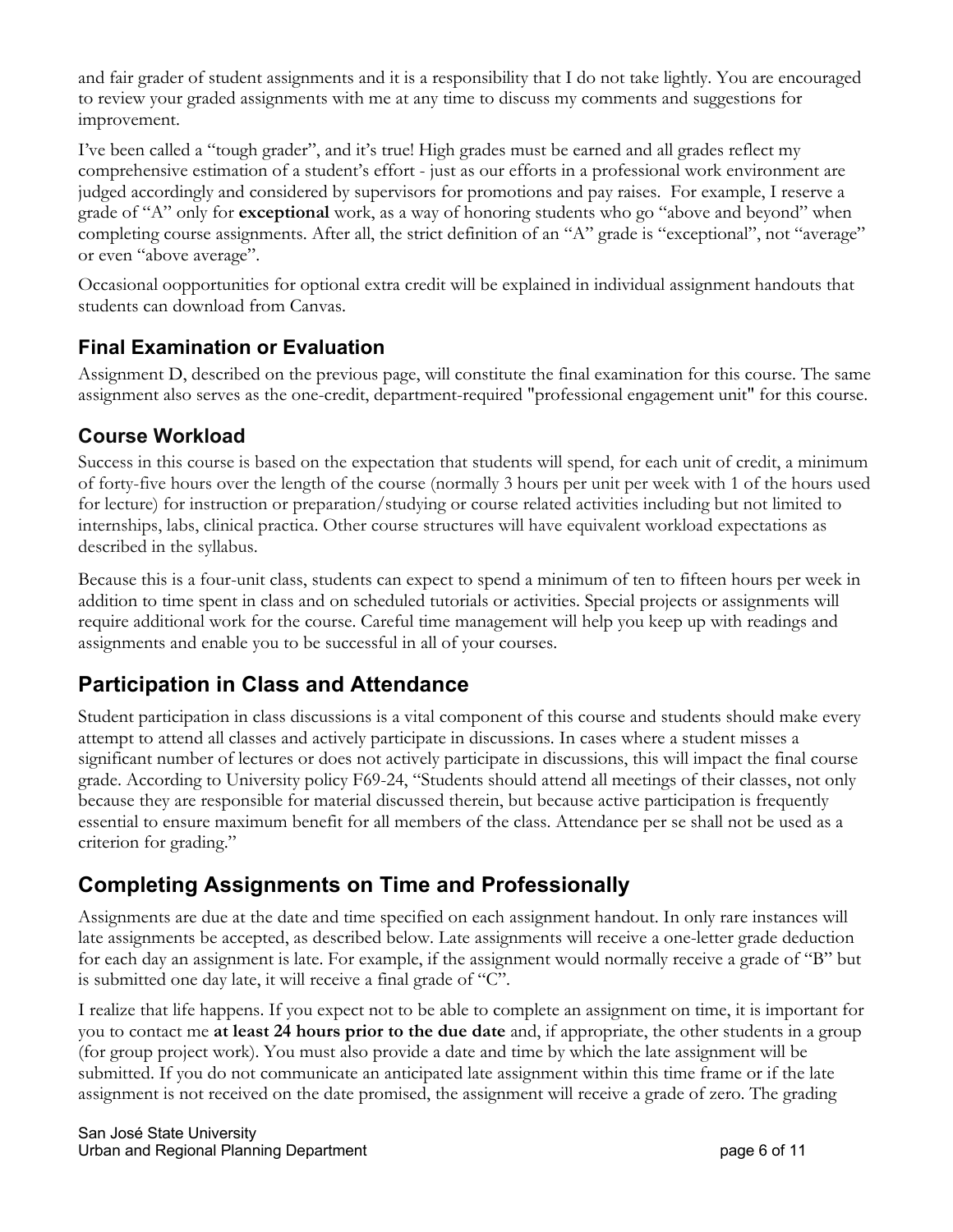and fair grader of student assignments and it is a responsibility that I do not take lightly. You are encouraged to review your graded assignments with me at any time to discuss my comments and suggestions for improvement.

I've been called a "tough grader", and it's true! High grades must be earned and all grades reflect my comprehensive estimation of a student's effort - just as our efforts in a professional work environment are judged accordingly and considered by supervisors for promotions and pay raises. For example, I reserve a grade of "A" only for **exceptional** work, as a way of honoring students who go "above and beyond" when completing course assignments. After all, the strict definition of an "A" grade is "exceptional", not "average" or even "above average".

Occasional oopportunities for optional extra credit will be explained in individual assignment handouts that students can download from Canvas.

#### **Final Examination or Evaluation**

Assignment D, described on the previous page, will constitute the final examination for this course. The same assignment also serves as the one-credit, department-required "professional engagement unit" for this course.

#### **Course Workload**

Success in this course is based on the expectation that students will spend, for each unit of credit, a minimum of forty-five hours over the length of the course (normally 3 hours per unit per week with 1 of the hours used for lecture) for instruction or preparation/studying or course related activities including but not limited to internships, labs, clinical practica. Other course structures will have equivalent workload expectations as described in the syllabus.

Because this is a four-unit class, students can expect to spend a minimum of ten to fifteen hours per week in addition to time spent in class and on scheduled tutorials or activities. Special projects or assignments will require additional work for the course. Careful time management will help you keep up with readings and assignments and enable you to be successful in all of your courses.

# **Participation in Class and Attendance**

Student participation in class discussions is a vital component of this course and students should make every attempt to attend all classes and actively participate in discussions. In cases where a student misses a significant number of lectures or does not actively participate in discussions, this will impact the final course grade. According to University policy F69-24, "Students should attend all meetings of their classes, not only because they are responsible for material discussed therein, but because active participation is frequently essential to ensure maximum benefit for all members of the class. Attendance per se shall not be used as a criterion for grading."

### **Completing Assignments on Time and Professionally**

Assignments are due at the date and time specified on each assignment handout. In only rare instances will late assignments be accepted, as described below. Late assignments will receive a one-letter grade deduction for each day an assignment is late. For example, if the assignment would normally receive a grade of "B" but is submitted one day late, it will receive a final grade of "C".

I realize that life happens. If you expect not to be able to complete an assignment on time, it is important for you to contact me **at least 24 hours prior to the due date** and, if appropriate, the other students in a group (for group project work). You must also provide a date and time by which the late assignment will be submitted. If you do not communicate an anticipated late assignment within this time frame or if the late assignment is not received on the date promised, the assignment will receive a grade of zero. The grading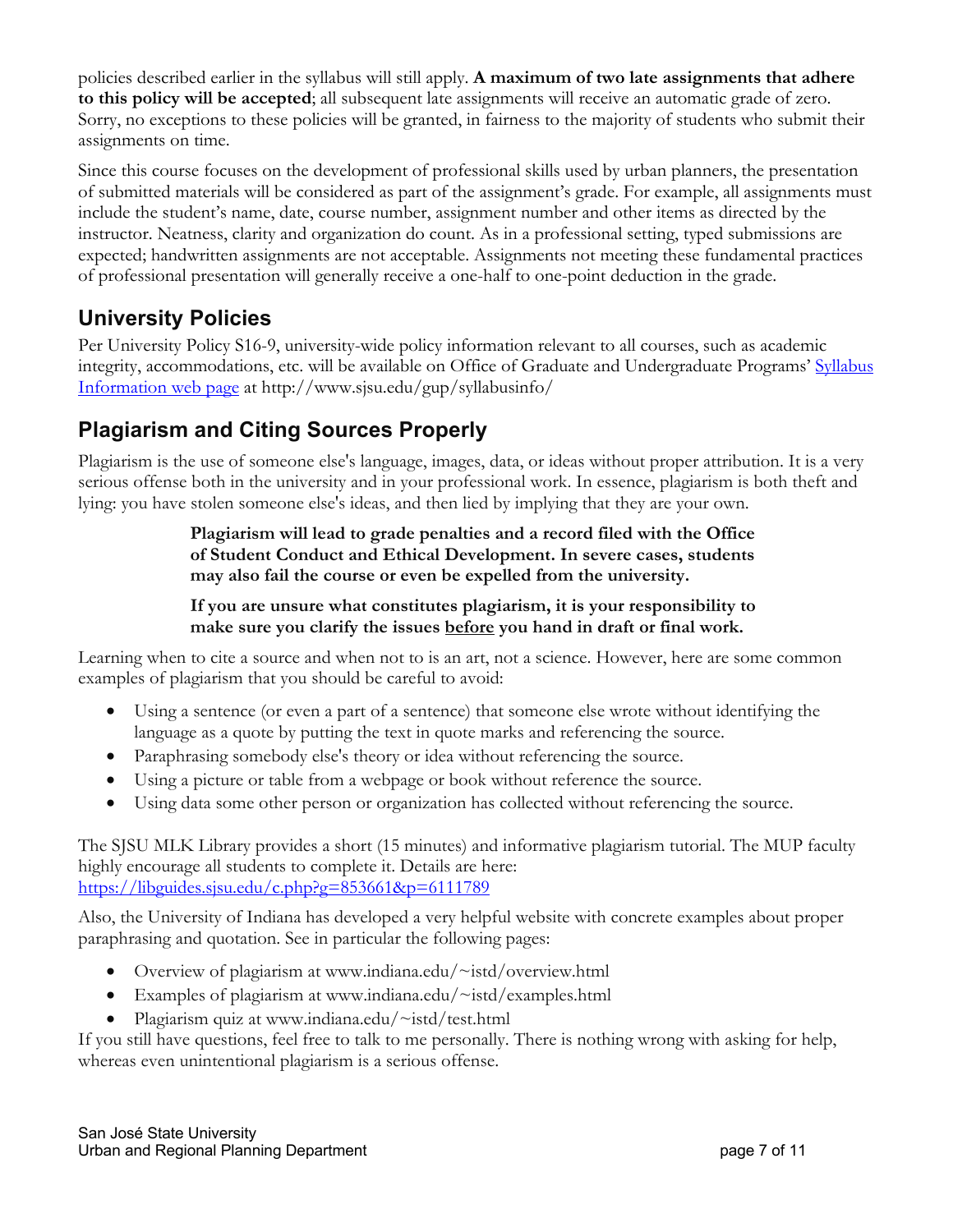policies described earlier in the syllabus will still apply. **A maximum of two late assignments that adhere to this policy will be accepted**; all subsequent late assignments will receive an automatic grade of zero. Sorry, no exceptions to these policies will be granted, in fairness to the majority of students who submit their assignments on time.

Since this course focuses on the development of professional skills used by urban planners, the presentation of submitted materials will be considered as part of the assignment's grade. For example, all assignments must include the student's name, date, course number, assignment number and other items as directed by the instructor. Neatness, clarity and organization do count. As in a professional setting, typed submissions are expected; handwritten assignments are not acceptable. Assignments not meeting these fundamental practices of professional presentation will generally receive a one-half to one-point deduction in the grade.

### **University Policies**

Per University Policy S16-9, university-wide policy information relevant to all courses, such as academic integrity, accommodations, etc. will be available on Office of Graduate and Undergraduate Programs' Syllabus Information web page at http://www.sjsu.edu/gup/syllabusinfo/

# **Plagiarism and Citing Sources Properly**

Plagiarism is the use of someone else's language, images, data, or ideas without proper attribution. It is a very serious offense both in the university and in your professional work. In essence, plagiarism is both theft and lying: you have stolen someone else's ideas, and then lied by implying that they are your own.

#### **Plagiarism will lead to grade penalties and a record filed with the Office of Student Conduct and Ethical Development. In severe cases, students may also fail the course or even be expelled from the university.**

**If you are unsure what constitutes plagiarism, it is your responsibility to make sure you clarify the issues before you hand in draft or final work.**

Learning when to cite a source and when not to is an art, not a science. However, here are some common examples of plagiarism that you should be careful to avoid:

- Using a sentence (or even a part of a sentence) that someone else wrote without identifying the language as a quote by putting the text in quote marks and referencing the source.
- Paraphrasing somebody else's theory or idea without referencing the source.
- Using a picture or table from a webpage or book without reference the source.
- Using data some other person or organization has collected without referencing the source.

The SJSU MLK Library provides a short (15 minutes) and informative plagiarism tutorial. The MUP faculty highly encourage all students to complete it. Details are here: https://libguides.sjsu.edu/c.php?g=853661&p=6111789

Also, the University of Indiana has developed a very helpful website with concrete examples about proper paraphrasing and quotation. See in particular the following pages:

- Overview of plagiarism at www.indiana.edu/~istd/overview.html
- Examples of plagiarism at www.indiana.edu/~istd/examples.html
- Plagiarism quiz at www.indiana.edu/~istd/test.html

If you still have questions, feel free to talk to me personally. There is nothing wrong with asking for help, whereas even unintentional plagiarism is a serious offense.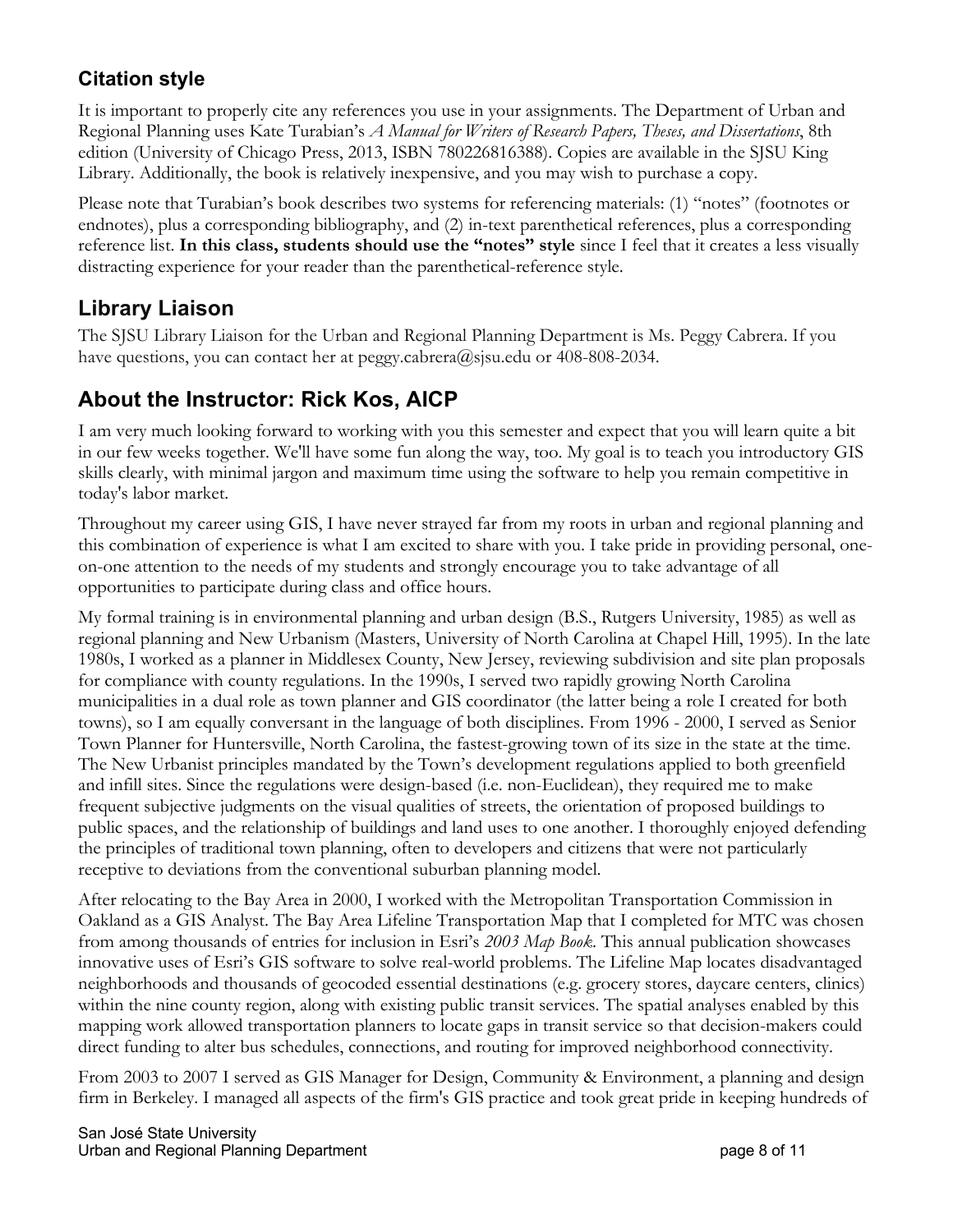### **Citation style**

It is important to properly cite any references you use in your assignments. The Department of Urban and Regional Planning uses Kate Turabian's *A Manual for Writers of Research Papers, Theses, and Dissertations*, 8th edition (University of Chicago Press, 2013, ISBN 780226816388). Copies are available in the SJSU King Library. Additionally, the book is relatively inexpensive, and you may wish to purchase a copy.

Please note that Turabian's book describes two systems for referencing materials: (1) "notes" (footnotes or endnotes), plus a corresponding bibliography, and (2) in-text parenthetical references, plus a corresponding reference list. **In this class, students should use the "notes" style** since I feel that it creates a less visually distracting experience for your reader than the parenthetical-reference style.

### **Library Liaison**

The SJSU Library Liaison for the Urban and Regional Planning Department is Ms. Peggy Cabrera. If you have questions, you can contact her at peggy.cabrera@sjsu.edu or 408-808-2034.

# **About the Instructor: Rick Kos, AICP**

I am very much looking forward to working with you this semester and expect that you will learn quite a bit in our few weeks together. We'll have some fun along the way, too. My goal is to teach you introductory GIS skills clearly, with minimal jargon and maximum time using the software to help you remain competitive in today's labor market.

Throughout my career using GIS, I have never strayed far from my roots in urban and regional planning and this combination of experience is what I am excited to share with you. I take pride in providing personal, oneon-one attention to the needs of my students and strongly encourage you to take advantage of all opportunities to participate during class and office hours.

My formal training is in environmental planning and urban design (B.S., Rutgers University, 1985) as well as regional planning and New Urbanism (Masters, University of North Carolina at Chapel Hill, 1995). In the late 1980s, I worked as a planner in Middlesex County, New Jersey, reviewing subdivision and site plan proposals for compliance with county regulations. In the 1990s, I served two rapidly growing North Carolina municipalities in a dual role as town planner and GIS coordinator (the latter being a role I created for both towns), so I am equally conversant in the language of both disciplines. From 1996 - 2000, I served as Senior Town Planner for Huntersville, North Carolina, the fastest-growing town of its size in the state at the time. The New Urbanist principles mandated by the Town's development regulations applied to both greenfield and infill sites. Since the regulations were design-based (i.e. non-Euclidean), they required me to make frequent subjective judgments on the visual qualities of streets, the orientation of proposed buildings to public spaces, and the relationship of buildings and land uses to one another. I thoroughly enjoyed defending the principles of traditional town planning, often to developers and citizens that were not particularly receptive to deviations from the conventional suburban planning model.

After relocating to the Bay Area in 2000, I worked with the Metropolitan Transportation Commission in Oakland as a GIS Analyst. The Bay Area Lifeline Transportation Map that I completed for MTC was chosen from among thousands of entries for inclusion in Esri's *2003 Map Book*. This annual publication showcases innovative uses of Esri's GIS software to solve real-world problems. The Lifeline Map locates disadvantaged neighborhoods and thousands of geocoded essential destinations (e.g. grocery stores, daycare centers, clinics) within the nine county region, along with existing public transit services. The spatial analyses enabled by this mapping work allowed transportation planners to locate gaps in transit service so that decision-makers could direct funding to alter bus schedules, connections, and routing for improved neighborhood connectivity.

From 2003 to 2007 I served as GIS Manager for Design, Community & Environment, a planning and design firm in Berkeley. I managed all aspects of the firm's GIS practice and took great pride in keeping hundreds of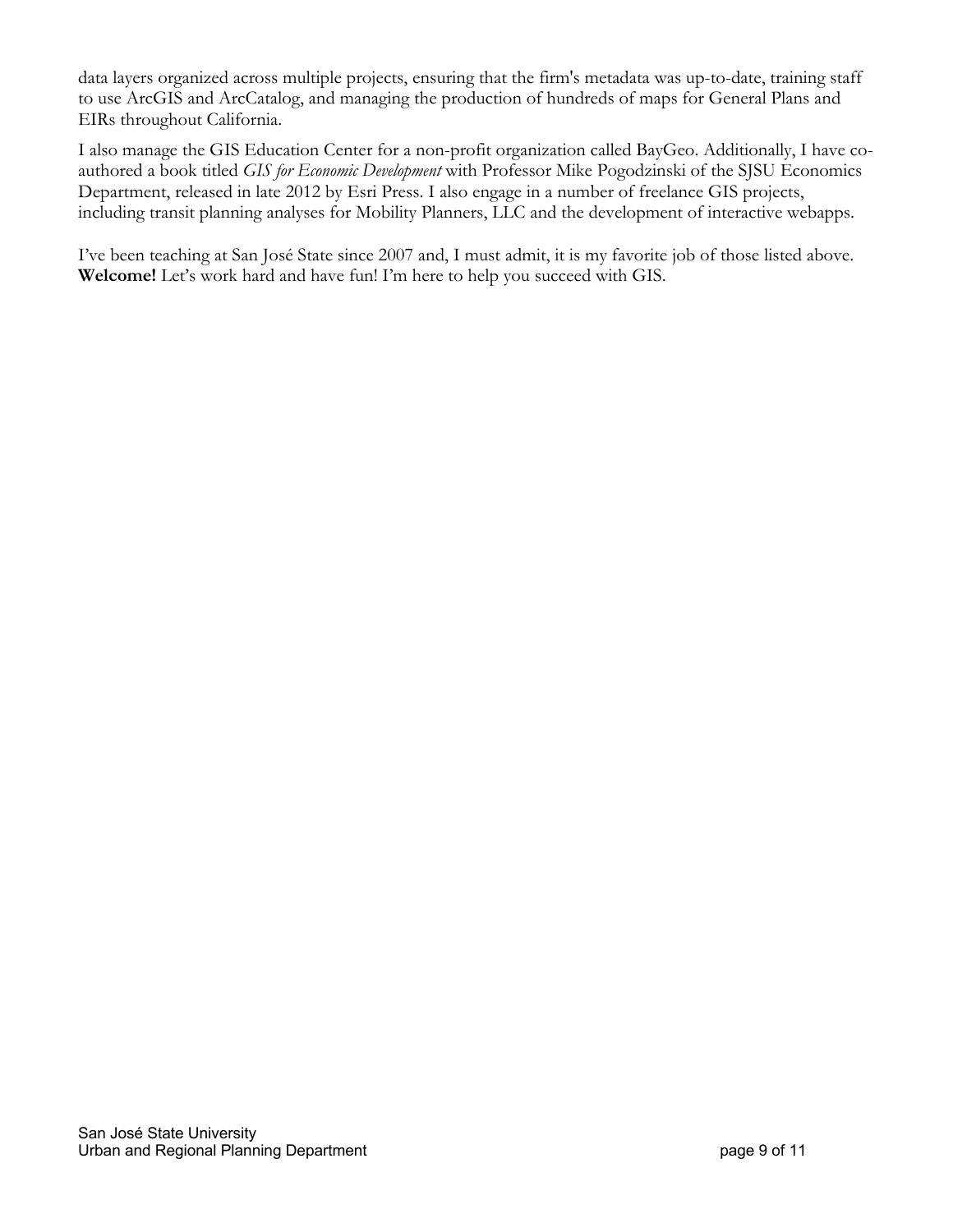data layers organized across multiple projects, ensuring that the firm's metadata was up-to-date, training staff to use ArcGIS and ArcCatalog, and managing the production of hundreds of maps for General Plans and EIRs throughout California.

I also manage the GIS Education Center for a non-profit organization called BayGeo. Additionally, I have coauthored a book titled *GIS for Economic Development* with Professor Mike Pogodzinski of the SJSU Economics Department, released in late 2012 by Esri Press. I also engage in a number of freelance GIS projects, including transit planning analyses for Mobility Planners, LLC and the development of interactive webapps.

I've been teaching at San José State since 2007 and, I must admit, it is my favorite job of those listed above. **Welcome!** Let's work hard and have fun! I'm here to help you succeed with GIS.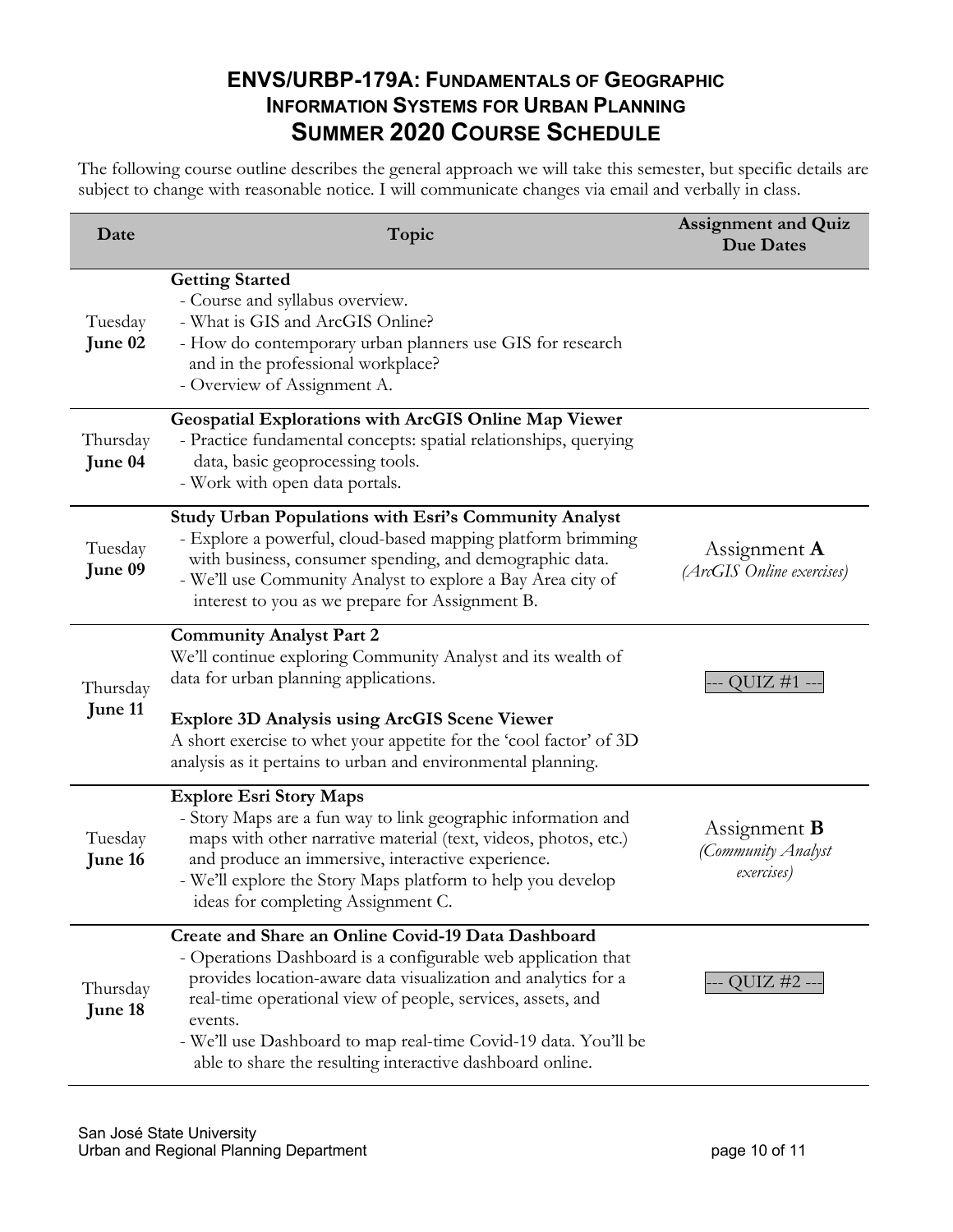### **ENVS/URBP-179A: FUNDAMENTALS OF GEOGRAPHIC INFORMATION SYSTEMS FOR URBAN PLANNING SUMMER 2020 COURSE SCHEDULE**

The following course outline describes the general approach we will take this semester, but specific details are subject to change with reasonable notice. I will communicate changes via email and verbally in class.

| Date                | Topic                                                                                                                                                                                                                                                                                                                                                                                           | <b>Assignment and Quiz</b><br><b>Due Dates</b>          |
|---------------------|-------------------------------------------------------------------------------------------------------------------------------------------------------------------------------------------------------------------------------------------------------------------------------------------------------------------------------------------------------------------------------------------------|---------------------------------------------------------|
| Tuesday<br>June 02  | <b>Getting Started</b><br>- Course and syllabus overview.<br>- What is GIS and ArcGIS Online?<br>- How do contemporary urban planners use GIS for research<br>and in the professional workplace?<br>- Overview of Assignment A.                                                                                                                                                                 |                                                         |
| Thursday<br>June 04 | Geospatial Explorations with ArcGIS Online Map Viewer<br>- Practice fundamental concepts: spatial relationships, querying<br>data, basic geoprocessing tools.<br>- Work with open data portals.                                                                                                                                                                                                 |                                                         |
| Tuesday<br>June 09  | Study Urban Populations with Esri's Community Analyst<br>- Explore a powerful, cloud-based mapping platform brimming<br>with business, consumer spending, and demographic data.<br>- We'll use Community Analyst to explore a Bay Area city of<br>interest to you as we prepare for Assignment B.                                                                                               | Assignment $\bf{A}$<br>(ArcGIS Online exercises)        |
| Thursday<br>June 11 | <b>Community Analyst Part 2</b><br>We'll continue exploring Community Analyst and its wealth of<br>data for urban planning applications.<br><b>Explore 3D Analysis using ArcGIS Scene Viewer</b><br>A short exercise to whet your appetite for the 'cool factor' of 3D<br>analysis as it pertains to urban and environmental planning.                                                          | QUIZ #1 -                                               |
| Tuesday<br>June 16  | <b>Explore Esri Story Maps</b><br>- Story Maps are a fun way to link geographic information and<br>maps with other narrative material (text, videos, photos, etc.)<br>and produce an immersive, interactive experience.<br>- We'll explore the Story Maps platform to help you develop<br>ideas for completing Assignment C.                                                                    | Assignment <b>B</b><br>(Community Analyst<br>exercises) |
| Thursday<br>June 18 | Create and Share an Online Covid-19 Data Dashboard<br>- Operations Dashboard is a configurable web application that<br>provides location-aware data visualization and analytics for a<br>real-time operational view of people, services, assets, and<br>events.<br>- We'll use Dashboard to map real-time Covid-19 data. You'll be<br>able to share the resulting interactive dashboard online. | QUIZ $#2 -$                                             |